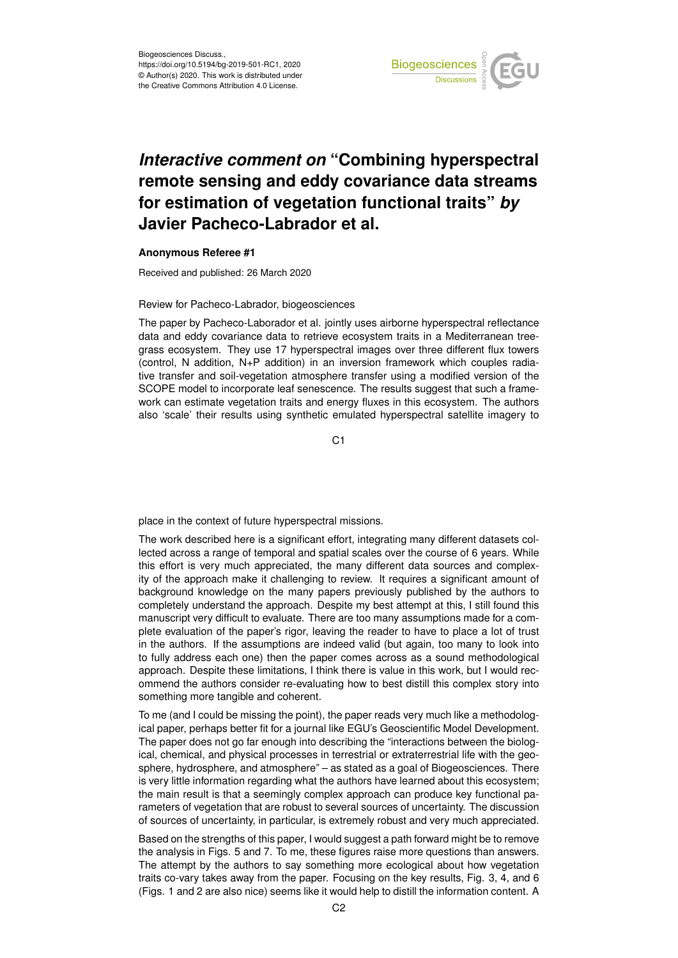

## *Interactive comment on* **"Combining hyperspectral remote sensing and eddy covariance data streams for estimation of vegetation functional traits"** *by* **Javier Pacheco-Labrador et al.**

## **Anonymous Referee #1**

Received and published: 26 March 2020

## Review for Pacheco-Labrador, biogeosciences

The paper by Pacheco-Laborador et al. jointly uses airborne hyperspectral reflectance data and eddy covariance data to retrieve ecosystem traits in a Mediterranean treegrass ecosystem. They use 17 hyperspectral images over three different flux towers (control, N addition, N+P addition) in an inversion framework which couples radiative transfer and soil-vegetation atmosphere transfer using a modified version of the SCOPE model to incorporate leaf senescence. The results suggest that such a framework can estimate vegetation traits and energy fluxes in this ecosystem. The authors also 'scale' their results using synthetic emulated hyperspectral satellite imagery to

C<sub>1</sub>

place in the context of future hyperspectral missions.

The work described here is a significant effort, integrating many different datasets collected across a range of temporal and spatial scales over the course of 6 years. While this effort is very much appreciated, the many different data sources and complexity of the approach make it challenging to review. It requires a significant amount of background knowledge on the many papers previously published by the authors to completely understand the approach. Despite my best attempt at this, I still found this manuscript very difficult to evaluate. There are too many assumptions made for a complete evaluation of the paper's rigor, leaving the reader to have to place a lot of trust in the authors. If the assumptions are indeed valid (but again, too many to look into to fully address each one) then the paper comes across as a sound methodological approach. Despite these limitations, I think there is value in this work, but I would recommend the authors consider re-evaluating how to best distill this complex story into something more tangible and coherent.

To me (and I could be missing the point), the paper reads very much like a methodological paper, perhaps better fit for a journal like EGU's Geoscientific Model Development. The paper does not go far enough into describing the "interactions between the biological, chemical, and physical processes in terrestrial or extraterrestrial life with the geosphere, hydrosphere, and atmosphere" – as stated as a goal of Biogeosciences. There is very little information regarding what the authors have learned about this ecosystem; the main result is that a seemingly complex approach can produce key functional parameters of vegetation that are robust to several sources of uncertainty. The discussion of sources of uncertainty, in particular, is extremely robust and very much appreciated.

Based on the strengths of this paper, I would suggest a path forward might be to remove the analysis in Figs. 5 and 7. To me, these figures raise more questions than answers. The attempt by the authors to say something more ecological about how vegetation traits co-vary takes away from the paper. Focusing on the key results, Fig. 3, 4, and 6 (Figs. 1 and 2 are also nice) seems like it would help to distill the information content. A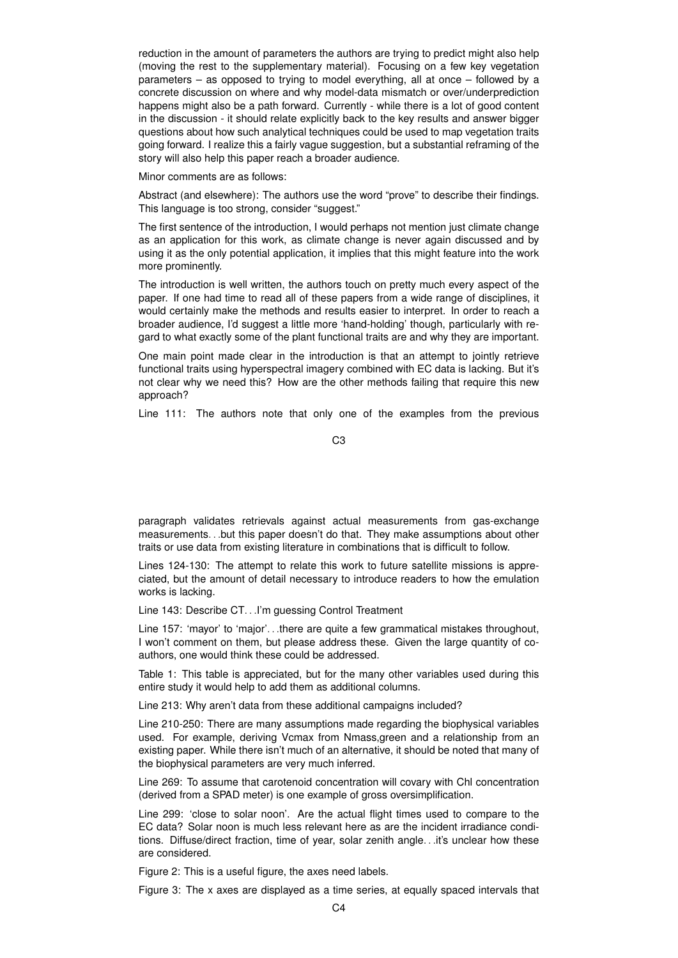reduction in the amount of parameters the authors are trying to predict might also help (moving the rest to the supplementary material). Focusing on a few key vegetation parameters – as opposed to trying to model everything, all at once – followed by a concrete discussion on where and why model-data mismatch or over/underprediction happens might also be a path forward. Currently - while there is a lot of good content in the discussion - it should relate explicitly back to the key results and answer bigger questions about how such analytical techniques could be used to map vegetation traits going forward. I realize this a fairly vague suggestion, but a substantial reframing of the story will also help this paper reach a broader audience.

Minor comments are as follows:

Abstract (and elsewhere): The authors use the word "prove" to describe their findings. This language is too strong, consider "suggest."

The first sentence of the introduction, I would perhaps not mention just climate change as an application for this work, as climate change is never again discussed and by using it as the only potential application, it implies that this might feature into the work more prominently.

The introduction is well written, the authors touch on pretty much every aspect of the paper. If one had time to read all of these papers from a wide range of disciplines, it would certainly make the methods and results easier to interpret. In order to reach a broader audience, I'd suggest a little more 'hand-holding' though, particularly with regard to what exactly some of the plant functional traits are and why they are important.

One main point made clear in the introduction is that an attempt to jointly retrieve functional traits using hyperspectral imagery combined with EC data is lacking. But it's not clear why we need this? How are the other methods failing that require this new approach?

Line 111: The authors note that only one of the examples from the previous

C3

paragraph validates retrievals against actual measurements from gas-exchange measurements. . .but this paper doesn't do that. They make assumptions about other traits or use data from existing literature in combinations that is difficult to follow.

Lines 124-130: The attempt to relate this work to future satellite missions is appreciated, but the amount of detail necessary to introduce readers to how the emulation works is lacking.

Line 143: Describe CT. . .I'm guessing Control Treatment

Line 157: 'mayor' to 'major'...there are quite a few grammatical mistakes throughout, I won't comment on them, but please address these. Given the large quantity of coauthors, one would think these could be addressed.

Table 1: This table is appreciated, but for the many other variables used during this entire study it would help to add them as additional columns.

Line 213: Why aren't data from these additional campaigns included?

Line 210-250: There are many assumptions made regarding the biophysical variables used. For example, deriving Vcmax from Nmass,green and a relationship from an existing paper. While there isn't much of an alternative, it should be noted that many of the biophysical parameters are very much inferred.

Line 269: To assume that carotenoid concentration will covary with Chl concentration (derived from a SPAD meter) is one example of gross oversimplification.

Line 299: 'close to solar noon'. Are the actual flight times used to compare to the EC data? Solar noon is much less relevant here as are the incident irradiance conditions. Diffuse/direct fraction, time of year, solar zenith angle. . .it's unclear how these are considered.

Figure 2: This is a useful figure, the axes need labels.

Figure 3: The x axes are displayed as a time series, at equally spaced intervals that